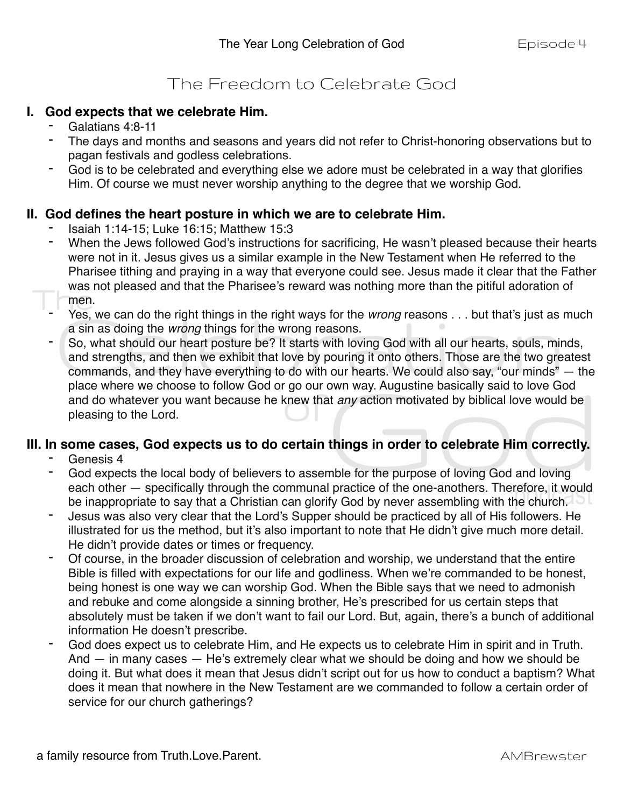# The Freedom to Celebrate God

### **I. God expects that we celebrate Him.**

- Galatians 4:8-11
- The days and months and seasons and years did not refer to Christ-honoring observations but to pagan festivals and godless celebrations.
- God is to be celebrated and everything else we adore must be celebrated in a way that glorifies Him. Of course we must never worship anything to the degree that we worship God.

### **II. God defines the heart posture in which we are to celebrate Him.**

- Isaiah 1:14-15; Luke 16:15; Matthew 15:3
- When the Jews followed God's instructions for sacrificing, He wasn't pleased because their hearts were not in it. Jesus gives us a similar example in the New Testament when He referred to the Pharisee tithing and praying in a way that everyone could see. Jesus made it clear that the Father was not pleased and that the Pharisee's reward was nothing more than the pitiful adoration of men.
- Yes, we can do the right things in the right ways for the *wrong* reasons . . . but that's just as much a sin as doing the *wrong* things for the wrong reasons.
- So, what should our heart posture be? It starts with loving God with all our hearts, souls, minds, and strengths, and then we exhibit that love by pouring it onto others. Those are the two greatest commands, and they have everything to do with our hearts. We could also say, "our minds" — the place where we choose to follow God or go our own way. Augustine basically said to love God and do whatever you want because he knew that *any* action motivated by biblical love would be pleasing to the Lord.

# **III. In some cases, God expects us to do certain things in order to celebrate Him correctly.**

- Genesis 4
- God expects the local body of believers to assemble for the purpose of loving God and loving each other — specifically through the communal practice of the one-anothers. Therefore, it would be inappropriate to say that a Christian can glorify God by never assembling with the church.
- Jesus was also very clear that the Lord's Supper should be practiced by all of His followers. He illustrated for us the method, but it's also important to note that He didn't give much more detail. He didn't provide dates or times or frequency.
- Of course, in the broader discussion of celebration and worship, we understand that the entire Bible is filled with expectations for our life and godliness. When we're commanded to be honest, being honest is one way we can worship God. When the Bible says that we need to admonish and rebuke and come alongside a sinning brother, He's prescribed for us certain steps that absolutely must be taken if we don't want to fail our Lord. But, again, there's a bunch of additional information He doesn't prescribe.
- God does expect us to celebrate Him, and He expects us to celebrate Him in spirit and in Truth. And  $-$  in many cases  $-$  He's extremely clear what we should be doing and how we should be doing it. But what does it mean that Jesus didn't script out for us how to conduct a baptism? What does it mean that nowhere in the New Testament are we commanded to follow a certain order of service for our church gatherings?